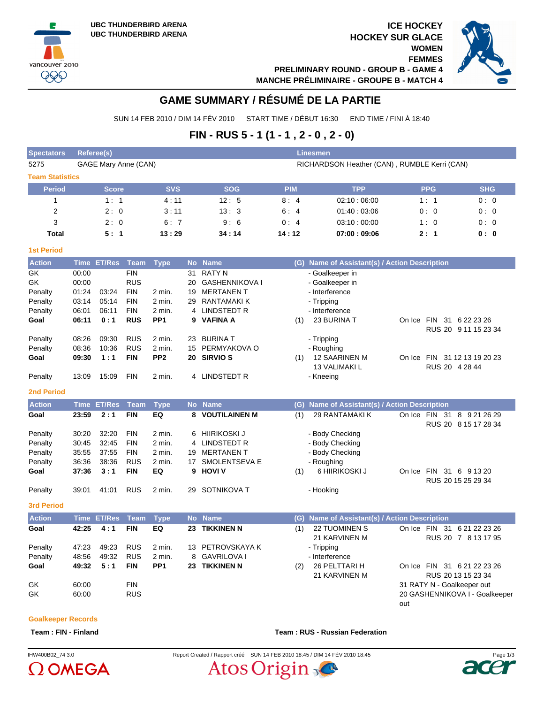vancouver 2010 **QQQ** 





# **GAME SUMMARY / RÉSUMÉ DE LA PARTIE**

SUN 14 FEB 2010 / DIM 14 FÉV 2010 START TIME / DÉBUT 16:30 END TIME / FINI À 18:40

# **FIN - RUS 5 - 1 (1 - 1 , 2 - 0 , 2 - 0)**

| <b>Referee(s)</b><br><b>Linesmen</b> |                |                                                                                             |                                                                                                                  |                                                                             |                                                                              |                                                |                                                                                      |                                                                                      |  |  |  |  |  |
|--------------------------------------|----------------|---------------------------------------------------------------------------------------------|------------------------------------------------------------------------------------------------------------------|-----------------------------------------------------------------------------|------------------------------------------------------------------------------|------------------------------------------------|--------------------------------------------------------------------------------------|--------------------------------------------------------------------------------------|--|--|--|--|--|
|                                      |                |                                                                                             | RICHARDSON Heather (CAN), RUMBLE Kerri (CAN)                                                                     |                                                                             |                                                                              |                                                |                                                                                      |                                                                                      |  |  |  |  |  |
| <b>Team Statistics</b>               |                |                                                                                             |                                                                                                                  |                                                                             |                                                                              |                                                |                                                                                      |                                                                                      |  |  |  |  |  |
|                                      |                |                                                                                             | <b>SVS</b>                                                                                                       | <b>SOG</b>                                                                  | <b>PIM</b>                                                                   | <b>TPP</b>                                     | <b>PPG</b>                                                                           | <b>SHG</b>                                                                           |  |  |  |  |  |
|                                      |                |                                                                                             |                                                                                                                  | 12:5                                                                        | 8:4                                                                          | 02.10:06.00                                    | 1:1                                                                                  | 0:0                                                                                  |  |  |  |  |  |
|                                      |                |                                                                                             |                                                                                                                  | 13:3                                                                        | 6:4                                                                          | 01:40:03:06                                    | 0:0                                                                                  | 0:0                                                                                  |  |  |  |  |  |
|                                      |                |                                                                                             |                                                                                                                  | 9:6                                                                         | 0:4                                                                          | 03:10:00:00                                    | 1:0                                                                                  | 0:0                                                                                  |  |  |  |  |  |
|                                      |                |                                                                                             |                                                                                                                  | 34:14                                                                       | 14:12                                                                        | 07:00:09:06                                    | 2:1                                                                                  | 0: 0                                                                                 |  |  |  |  |  |
|                                      |                |                                                                                             |                                                                                                                  |                                                                             |                                                                              |                                                |                                                                                      |                                                                                      |  |  |  |  |  |
| <b>Time</b>                          |                |                                                                                             |                                                                                                                  |                                                                             | (G)                                                                          |                                                |                                                                                      |                                                                                      |  |  |  |  |  |
| 00:00                                |                |                                                                                             |                                                                                                                  | RATY N                                                                      |                                                                              |                                                |                                                                                      |                                                                                      |  |  |  |  |  |
| 01:24                                |                |                                                                                             |                                                                                                                  | <b>MERTANEN T</b>                                                           |                                                                              |                                                |                                                                                      |                                                                                      |  |  |  |  |  |
| 03:14<br>06:01                       |                |                                                                                             |                                                                                                                  | LINDSTEDT R                                                                 |                                                                              |                                                |                                                                                      |                                                                                      |  |  |  |  |  |
|                                      | 00:00<br>06:11 | <b>Score</b><br>1:1<br>2:0<br>2:0<br>5:1<br><b>ET/Res</b><br>03:24<br>05:14<br>06:11<br>0·1 | GAGE Mary Anne (CAN)<br>Team<br><b>FIN</b><br><b>RUS</b><br><b>FIN</b><br><b>FIN</b><br><b>FIN</b><br><b>RUS</b> | 4:11<br>3:11<br>6:7<br>13:29<br><b>Type</b><br>$2$ min.<br>2 min.<br>2 min. | No Name<br>31<br><b>GASHENNIKOVA I</b><br>20<br>19<br>RANTAMAKI K<br>29<br>4 | PP <sub>1</sub><br><b>VAFINA A</b><br>(1)<br>g | - Goalkeeper in<br>- Goalkeeper in<br>- Interference<br>- Tripping<br>- Interference | Name of Assistant(s) / Action Description<br>On Ice FIN 31 6 22 23 26<br>23 BURINA T |  |  |  |  |  |

| <b>Contract Contract Contract</b> | __    | ____  |            |                 |    |                  |                                                                 |  |
|-----------------------------------|-------|-------|------------|-----------------|----|------------------|-----------------------------------------------------------------|--|
| <b>2nd Period</b>                 |       |       |            |                 |    |                  |                                                                 |  |
| Penalty                           | 13:09 | 15:09 | <b>FIN</b> | 2 min.          |    | 4 LINDSTEDT R    | - Kneeing                                                       |  |
|                                   |       |       |            |                 |    |                  | <b>13 VALIMAKI L</b><br>RUS 20 4 28 44                          |  |
| Goal                              | 09:30 | 1:1   | <b>FIN</b> | PP <sub>2</sub> |    | 20 SIRVIO S      | On Ice FIN 31 12 13 19 20 23<br><b>12 SAARINEN M</b><br>(1)     |  |
| Penalty                           | 08:36 | 10:36 | <b>RUS</b> | 2 min.          |    | 15 PERMYAKOVA O  | - Roughing                                                      |  |
| Penalty                           | 08:26 | 09:30 | <b>RUS</b> | 2 min.          | 23 | <b>BURINA T</b>  | - Tripping                                                      |  |
|                                   |       |       |            |                 |    |                  | RUS 20 9 11 15 23 34                                            |  |
| Goal                              | 06:11 | 0:1   | <b>RUS</b> | PP <sub>1</sub> |    | 9 VAFINA A       | 23 BURINA T<br><b>FIN</b><br>6 22 23 26<br>-31<br>On Ice<br>(1) |  |
| Penalty                           | 06:01 | 06:11 | <b>FIN</b> | $2$ min.        |    | 4 LINDSTEDT R    | - Interference                                                  |  |
|                                   |       |       |            |                 |    |                  |                                                                 |  |
| Penalty                           | 03:14 | 05:14 | <b>FIN</b> | $2$ min.        | 29 | RANTAMAKI K      | - Tripping                                                      |  |
| Penalty                           | 01:24 | 03:24 | <b>FIN</b> | $2$ min.        | 19 | MERTANEN T       | - Interference                                                  |  |
| on                                | vv.vv |       | כש ח       |                 | zu | UAJHEINININUVA I | - Guaireepei III                                                |  |

#### **Action Time ET/Res Team Type No Name (G) Name of Assistant(s) / Action Description Goal 23:59 2:1 FIN EQ 8 VOUTILAINEN M** (1) 29 RANTAMAKIK On Ice FIN 31 8 9 21 26 29 RUS 20 8 15 17 28 34 Penalty 30:20 32:20 FIN 2 min. 6 HIIRIKOSKI J - Body Checking Penalty 30:45 32:45 FIN 2 min. 4 LINDSTEDT R - Body Checking Penalty 35:55 37:55 FIN 2 min. 19 MERTANEN T - Body Checking Penalty 36:36 38:36 RUS 2 min. 17 SMOLENTSEVA E - Roughing **Goal 37:36 3:1 FIN EQ 9 HOVI V** (1) 6 HIIRIKOSKI J On Ice FIN 31 6 9 13 20 RUS 20 15 25 29 34 Penalty 39:01 41:01 RUS 2 min. 29 SOTNIKOVA T - Hooking

**3rd Period**

**Action Time ET/Res Team Type No Name (G) Name of Assistant(s) / Action Description Goal 42:25 4 : 1 FIN EQ 23 TIKKINEN N** (1) 22 TUOMINEN S 21 KARVINEN M On Ice FIN 31 6 21 22 23 26 RUS 20 7 8 13 17 95 Penalty 47:23 49:23 RUS 2 min. 13 PETROVSKAYA K - Tripping Penalty 48:56 49:32 RUS 2 min. 8 GAVRILOVA I - Interference **Goal 49:32 5:1 FIN PP1 23 TIKKINEN N** (2) 26 PELTTARI H 21 KARVINEN M On Ice FIN 31 6 21 22 23 26 RUS 20 13 15 23 34 GK 60:00 FIN 60:00 FIN 60:00 FIN GK 60:00 RUS 20 GASHENNIKOVA I - Goalkeeper

#### **Goalkeeper Records**

**Team : FIN - Finland Team : RUS - Russian Federation**

# $O$  OMEGA



out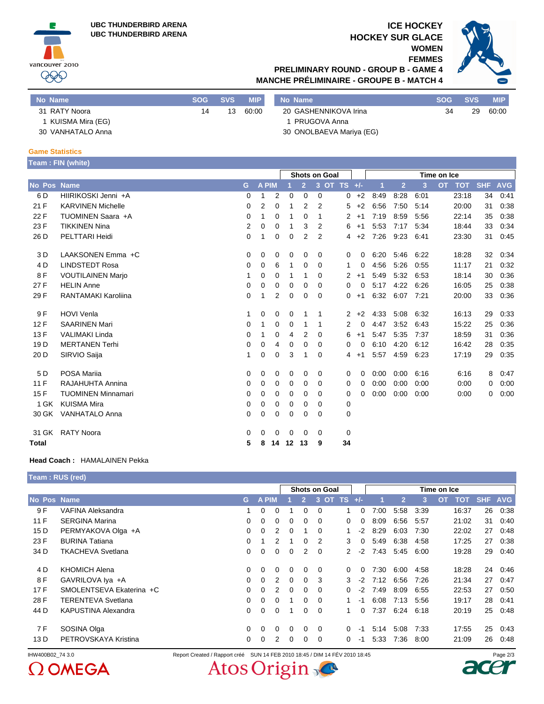**UBC THUNDERBIRD ARENA UBC THUNDERBIRD ARENA**



### **ICE HOCKEY HOCKEY SUR GLACE**

**WOMEN FEMMES**



## **PRELIMINARY ROUND - GROUP B - GAME 4 MANCHE PRÉLIMINAIRE - GROUPE B - MATCH 4**

| No Name           | <b>SOG</b> | SVS | <b>MIP</b> | No Name                  | <b>SOG</b> | <b>SVS</b> | <b>MIP</b> |
|-------------------|------------|-----|------------|--------------------------|------------|------------|------------|
| 31 RATY Noora     | 14         | 13  | 60:00      | 20 GASHENNIKOVA Irina    | 34         | 29         | 60:00      |
| KUISMA Mira (EG)  |            |     |            | 1 PRUGOVA Anna           |            |            |            |
| 30 VANHATALO Anna |            |     |            | 30 ONOLBAEVA Mariya (EG) |            |            |            |

#### **Game Statistics**

|                 | Team: FIN (white)          |                |              |                |             |                |                |                      |                        |      |                |      |                         |            |            |
|-----------------|----------------------------|----------------|--------------|----------------|-------------|----------------|----------------|----------------------|------------------------|------|----------------|------|-------------------------|------------|------------|
|                 |                            |                |              |                |             |                |                | <b>Shots on Goal</b> |                        |      |                |      | Time on Ice             |            |            |
| No Pos Name     |                            | G              | <b>A PIM</b> |                |             | $\overline{2}$ |                | 3 OT TS              | $+/-$                  | 1    | $\overline{2}$ | 3    | <b>OT</b><br><b>TOT</b> | <b>SHF</b> | <b>AVG</b> |
| 6 D             | HIIRIKOSKI Jenni +A        | $\mathbf 0$    | 1            | $\overline{2}$ | 0           | 0              | $\Omega$       |                      | $+2$<br>0              | 8:49 | 8:28           | 6:01 | 23:18                   | 34         | 0:41       |
| 21 F            | <b>KARVINEN Michelle</b>   | 0              | 2            | $\mathbf 0$    | 1           | 2              | 2              |                      | 5<br>$+2$              | 6:56 | 7:50           | 5:14 | 20:00                   | 31         | 0:38       |
| 22 F            | TUOMINEN Saara +A          | 0              | 1            | 0              | 1           | 0              | 1              |                      | $\overline{2}$<br>$+1$ | 7:19 | 8:59           | 5:56 | 22:14                   | 35         | 0:38       |
| 23 F            | <b>TIKKINEN Nina</b>       | $\overline{2}$ | 0            | 0              | 1           | 3              | 2              |                      | 6<br>$+1$              | 5:53 | 7:17           | 5:34 | 18:44                   | 33         | 0:34       |
| 26 D            | PELTTARI Heidi             | 0              | 1            | 0              | $\mathbf 0$ | $\overline{2}$ | $\overline{2}$ |                      | $+2$<br>4              | 7:26 | 9:23           | 6:41 | 23:30                   | 31         | 0:45       |
| 3 D             | LAAKSONEN Emma +C          | 0              | 0            | 0              | $\mathbf 0$ | 0              | $\Omega$       |                      | 0<br>0                 | 6:20 | 5:46           | 6:22 | 18:28                   | 32         | 0:34       |
| 4 D             | <b>LINDSTEDT Rosa</b>      | 0              | 0            | 6              | 1           | 0              | 0              |                      | 1<br>0                 | 4:56 | 5:26           | 0:55 | 11:17                   | 21         | 0:32       |
| 8 F             | <b>VOUTILAINEN Marjo</b>   | 1              | 0            | 0              | 1           | 1              | 0              |                      | $\overline{2}$<br>$+1$ | 5:49 | 5:32           | 6:53 | 18:14                   | 30         | 0:36       |
| 27 F            | <b>HELIN Anne</b>          | 0              | 0            | 0              | 0           | 0              | $\Omega$       |                      | 0<br>$\Omega$          | 5:17 | 4:22           | 6:26 | 16:05                   | 25         | 0:38       |
| 29 F            | <b>RANTAMAKI Karoliina</b> | 0              | 1            | 2              | 0           | 0              | 0              |                      | 0<br>$+1$              | 6:32 | 6:07           | 7:21 | 20:00                   | 33         | 0:36       |
| 9 F             | <b>HOVI Venla</b>          | 1              | 0            | 0              | 0           | 1              | 1              |                      | $\overline{2}$<br>$+2$ | 4:33 | 5:08           | 6:32 | 16:13                   | 29         | 0:33       |
| 12F             | <b>SAARINEN Mari</b>       | 0              | 1            | 0              | 0           | 1              | 1              |                      | 2<br>0                 | 4:47 | 3:52           | 6:43 | 15:22                   | 25         | 0:36       |
| 13F             | <b>VALIMAKI Linda</b>      | 0              | 1            | 0              | 4           | 2              | $\Omega$       |                      | 6<br>$+1$              | 5:47 | 5:35           | 7:37 | 18:59                   | 31         | 0:36       |
| 19 <sub>D</sub> | <b>MERTANEN Terhi</b>      | 0              | 0            | 4              | 0           | 0              | 0              |                      | 0<br>0                 | 6:10 | 4:20           | 6:12 | 16:42                   | 28         | 0:35       |
| 20 D            | SIRVIO Saija               | 1              | 0            | $\mathbf 0$    | 3           | 1              | $\Omega$       |                      | 4<br>$+1$              | 5:57 | 4:59           | 6:23 | 17:19                   | 29         | 0:35       |
| 5 D             | POSA Marija                | 0              | 0            | 0              | 0           | 0              | 0              |                      | 0<br>0                 | 0:00 | 0:00           | 6:16 | 6:16                    | 8          | 0:47       |
| 11F             | RAJAHUHTA Annina           | 0              | 0            | 0              | 0           | 0              | 0              |                      | 0<br>0                 | 0:00 | 0:00           | 0:00 | 0:00                    | 0          | 0:00       |
| 15F             | <b>TUOMINEN Minnamari</b>  | 0              | 0            | 0              | 0           | 0              | 0              |                      | 0<br>0                 | 0:00 | 0:00           | 0:00 | 0:00                    | 0          | 0:00       |
| 1 GK            | <b>KUISMA Mira</b>         | 0              | 0            | 0              | 0           | 0              | $\Omega$       |                      | 0                      |      |                |      |                         |            |            |
| 30 GK           | <b>VANHATALO Anna</b>      | 0              | 0            | 0              | 0           | 0              | $\Omega$       |                      | $\mathbf 0$            |      |                |      |                         |            |            |
| 31 GK           | <b>RATY Noora</b>          | 0              | 0            | 0              | 0           | 0              | 0              |                      | $\mathbf 0$            |      |                |      |                         |            |            |
| Total           |                            | 5              | 8            | 14             | 12          | 13             | 9              | 34                   |                        |      |                |      |                         |            |            |

#### **Head Coach :** HAMALAINEN Pekka

**Team : RUS (red)**

|                 |                            |          |             |          |          |                | <b>Shots on Goal</b> |              |          |      |                |      | Time on Ice |       |         |      |
|-----------------|----------------------------|----------|-------------|----------|----------|----------------|----------------------|--------------|----------|------|----------------|------|-------------|-------|---------|------|
| No Pos Name     |                            | G        | <b>APIM</b> |          |          | $\overline{2}$ | 3                    | OT TS $+/-$  |          |      | $\overline{2}$ | 3    | <b>OT</b>   | TOT   | SHF AVG |      |
| 9F              | <b>VAFINA Aleksandra</b>   |          | $\Omega$    | 0        |          | $\Omega$       | $\Omega$             | 1            | 0        | 7:00 | 5:58           | 3:39 |             | 16:37 | 26      | 0:38 |
| 11 F            | <b>SERGINA Marina</b>      | $\Omega$ | $\Omega$    | 0        | $\Omega$ | $\Omega$       | $\Omega$             | 0            | 0        | 8:09 | 6:56           | 5:57 |             | 21:02 | 31      | 0:40 |
| 15 <sub>D</sub> | PERMYAKOVA Olga +A         | $\Omega$ | 0           | 2        | $\Omega$ | 1              | $\Omega$             | 1.           | $-2$     | 8:29 | 6:03           | 7:30 |             | 22:02 | 27      | 0:48 |
| 23 F            | <b>BURINA Tatiana</b>      | $\Omega$ |             | 2        |          | $\Omega$       | 2                    | 3            | 0        | 5.49 | 6:38           | 4:58 |             | 17:25 | 27      | 0:38 |
| 34 D            | <b>TKACHEVA Svetlana</b>   | $\Omega$ | $\Omega$    | 0        | $\Omega$ | $\overline{2}$ | $\overline{0}$       | $\mathbf{2}$ | $-2$     | 7:43 | 5:45           | 6:00 |             | 19:28 | 29      | 0:40 |
| 4 D             | <b>KHOMICH Alena</b>       | $\Omega$ | $\Omega$    | 0        | $\Omega$ | $\Omega$       | $\Omega$             | 0            | $\Omega$ | 7:30 | 6:00           | 4:58 |             | 18:28 | 24      | 0:46 |
| 8 F             | GAVRILOVA Iya +A           | $\Omega$ | $\Omega$    | 2        | $\Omega$ | 0              | 3                    | 3            | $-2$     | 7:12 | 6:56           | 7:26 |             | 21:34 | 27      | 0:47 |
| 17F             | SMOLENTSEVA Ekaterina +C   | $\Omega$ | $\Omega$    | 2        | $\Omega$ | 0              | $\Omega$             | 0            | $-2$     | 7:49 | 8:09           | 6:55 |             | 22:53 | 27      | 0:50 |
| 28 F            | <b>TERENTEVA Svetlana</b>  | $\Omega$ | $\Omega$    | 0        |          | 0              | $\Omega$             | 1            | $-1$     | 6:08 | 7:13           | 5:56 |             | 19:17 | 28      | 0:41 |
| 44 D            | <b>KAPUSTINA Alexandra</b> | $\Omega$ | $\Omega$    | $\Omega$ |          | 0              | $\Omega$             | 1            | $\Omega$ | 7:37 | 6:24           | 6:18 |             | 20:19 | 25      | 0:48 |
| 7 F             | SOSINA Olga                | $\Omega$ | $\Omega$    | $\Omega$ | $\Omega$ | $\Omega$       | $\Omega$             | 0            | -1       | 5:14 | 5:08           | 7:33 |             | 17:55 | 25      | 0.43 |
| 13 D            | PETROVSKAYA Kristina       | $\Omega$ | 0           | 2        | $\Omega$ | 0              | 0                    | 0            | -1       | 5:33 | 7:36           | 8:00 |             | 21:09 | 26      | 0:48 |



Atos Origin